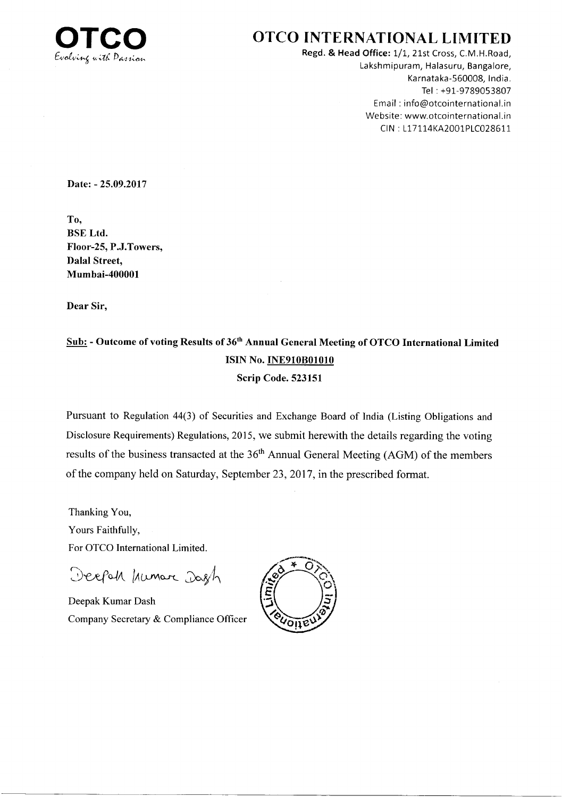

Regd. & Head Office: 1/1, 21st Cross, C.M.H.Road, Lakshmipuram, Halasuru, Bangalore, Karnataka-560008, lndia. Tel : +91-9789053807 Email : info@otcointernational.in Website: www.otcointernational.in CIN: L17114KA2001PLC028611

Date: - 25.09.2017

To, BSE Ltd. Floor-25, P.J.Towers, Dalal Street, Mumbai-400001

Dear Sir,

### Sub: - Outcome of voting Results of 36<sup>th</sup> Annual General Meeting of OTCO International Limited ISIN No. **INE910B01010** Scrip Code. 523151

Pursuant to Regulation 44(3) of Securities and Exchange Board of India (Listing Obligations and Disclosure Requirements) Regulations, 2015, we submit herewith the details regarding the voting results of the business transacted at the 36<sup>th</sup> Annual General Meeting (AGM) of the members of the company held on Saturday, September 23,2017, in the prescribed format.

Thanking You, Yours Faithfully, For OTCO International Limited

Deepah humar Dagh

Deepak Kumar Dash Company Secretary & Compliance Officer

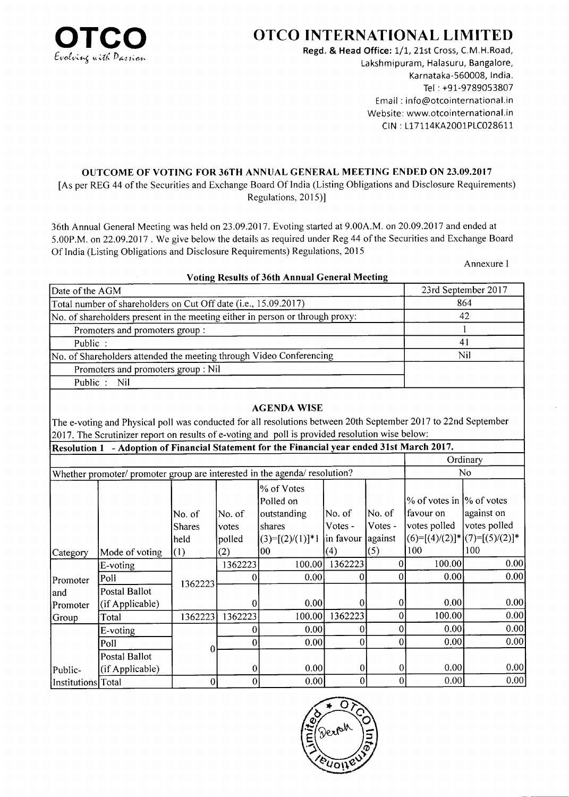

Regd. & Head Office: 1/1, 21st Cross, C.M.H.Road, Lakshmipuram, Halasuru, Bangalore, Karnataka-560008, lndia. Tel : +91-9789053807 Email : info@otcointernational.in Website: www.otcointernational.in CIN : 117114KA2001P1C028611

#### OUTCOME OF VOTING FOR 36TH ANNUAL GENERAL MEETING ENDED ON 23.09.2017

[As per REG 44 of the Securities and Exchange Board Of India (Listing Obligations and Disclosure Requirements) Regulations, 2015)]

36th Annual General Meeting was held on 23.09.2017. Evoting started at 9.00A.M. on 20.09.2017 and ended at 5.00P.M. on22.09.2017 . We give below the details as required under Reg 44 of the Securities and Exchange Board Of India (Listing Obligations and Disclosure Requirements) Regulations,20l5

Annexure I

| VOLING Results of 50th Annual General Meeting                                 |                     |
|-------------------------------------------------------------------------------|---------------------|
| Date of the AGM                                                               | 23rd September 2017 |
| Total number of shareholders on Cut Off date (i.e., 15.09.2017)               | 864                 |
| No. of shareholders present in the meeting either in person or through proxy: | 42                  |
| Promoters and promoters group:                                                |                     |
| Public:                                                                       | 41                  |
| No. of Shareholders attended the meeting through Video Conferencing           | Nil                 |
| Promoters and promoters group : Nil                                           |                     |
| Public : Nil                                                                  |                     |
|                                                                               |                     |

#### !, Results of 36th Annual General

#### AGENDA WISE

The e-voting and Physical poll was conducted for all resolutions between 20th September 2017 to 22nd September 2017 . The Scrutinizer report on results of e-voting and poll is provided resolution wise below:

|                    | Resolution 1 - Adoption of Financial Statement for the Financial year ended 31st March 2017. |                                 |                           |                                                                        |                                  |                              |                                                                    |                                                                      |
|--------------------|----------------------------------------------------------------------------------------------|---------------------------------|---------------------------|------------------------------------------------------------------------|----------------------------------|------------------------------|--------------------------------------------------------------------|----------------------------------------------------------------------|
|                    |                                                                                              |                                 |                           |                                                                        |                                  |                              |                                                                    | Ordinary                                                             |
|                    | Whether promoter/ promoter group are interested in the agenda/ resolution?                   |                                 |                           |                                                                        |                                  |                              |                                                                    | No.                                                                  |
|                    |                                                                                              | No. of<br><b>Shares</b><br>held | No. of<br>votes<br>polled | % of Votes<br>Polled on<br>outstanding<br>shares<br>$(3)=[(2)/(1)]$ *1 | No. of <br> Votes -<br>in favour | No. of<br>Votes -<br>against | % of votes in $\frac{1}{6}$ of votes<br>lfavour on<br>votes polled | against on<br>votes polled<br>$ (6)=[(4)/(2)]^{*} (7)=[(5)/(2)]^{*}$ |
| Category           | Mode of voting                                                                               | (1)                             | (2)                       | 00                                                                     | (4)                              | (5)                          | 100                                                                | 100                                                                  |
|                    | E-voting                                                                                     |                                 | 1362223                   | 100.00                                                                 | 1362223                          |                              | 100.00                                                             | 0.00                                                                 |
| Promoter           | Poll                                                                                         | 1362223                         |                           | 0.00                                                                   |                                  |                              | 0.00                                                               | 0.00                                                                 |
| land               | Postal Ballot                                                                                |                                 |                           |                                                                        |                                  |                              |                                                                    |                                                                      |
| Promoter           | (if Applicable)                                                                              |                                 |                           | 0.00                                                                   |                                  |                              | 0.00                                                               | 0.00                                                                 |
| Group              | Total                                                                                        | 1362223                         | 1362223                   | 100.00                                                                 | 1362223                          |                              | 100.00                                                             | 0.00                                                                 |
|                    | E-voting                                                                                     |                                 |                           | 0.00                                                                   |                                  |                              | 0.00                                                               | 0.00                                                                 |
|                    | Poll                                                                                         | O                               | 0                         | 0.00                                                                   |                                  |                              | 0.00                                                               | 0.00                                                                 |
|                    | Postal Ballot                                                                                |                                 |                           |                                                                        |                                  |                              |                                                                    |                                                                      |
| Public-            | (if Applicable)                                                                              |                                 | $\theta$                  | 0.00                                                                   | 0                                | 0                            | 0.00                                                               | 0.00                                                                 |
| Institutions Total |                                                                                              | 0                               | $\vert 0 \vert$           | 0.00                                                                   |                                  | $\Omega$                     | 0.00                                                               | 0.00                                                                 |

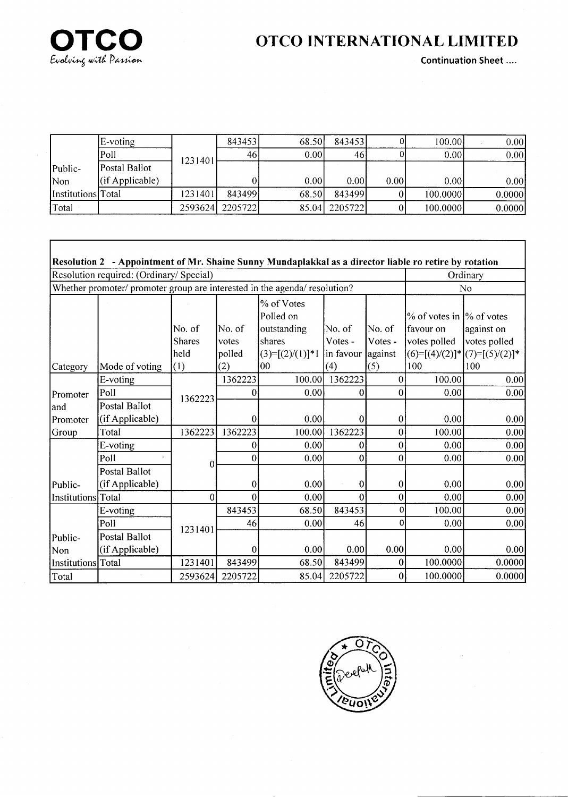

r

# OTCO INTERNATIONAL LIMITED

Continuation Sheet ....

|                    | E-voting        |         | 843453  | 68.50 | 8434531       |       | 100.00   | 0.001  |
|--------------------|-----------------|---------|---------|-------|---------------|-------|----------|--------|
|                    | Poll            | 1231401 | 461     | 0.001 | 46            |       | 0.00     | 0.00   |
| Public-            | Postal Ballot   |         |         |       |               |       |          |        |
| Non                | (if Applicable) |         |         | 0.00  | 0.00          | 0.001 | 0.00     | 0.00   |
| Institutions Total |                 | 1231401 | 843499  | 68.50 | 8434991       |       | 100.0000 | 0.0000 |
| 'Total             |                 | 2593624 | 2205722 |       | 85.04 2205722 |       | 100.0000 | 0.0000 |

|                    | Resolution 2 - Appointment of Mr. Shaine Sunny Mundaplakkal as a director liable ro retire by rotation |                  |                 |                                                  |                   |                   |                                                                   |                                       |
|--------------------|--------------------------------------------------------------------------------------------------------|------------------|-----------------|--------------------------------------------------|-------------------|-------------------|-------------------------------------------------------------------|---------------------------------------|
|                    | Resolution required: (Ordinary/ Special)                                                               |                  |                 |                                                  |                   |                   |                                                                   | Ordinary                              |
|                    | Whether promoter/ promoter group are interested in the agenda/ resolution?                             |                  |                 |                                                  |                   |                   |                                                                   | N <sub>0</sub>                        |
|                    |                                                                                                        | No. of<br>Shares | No. of<br>votes | % of Votes<br>Polled on<br>outstanding<br>shares | No. of<br>Votes - | No. of<br>Votes - | % of votes in $\frac{1}{6}$ of votes<br>favour on<br>votes polled | against on<br>votes polled            |
|                    |                                                                                                        | held             | polled          | $(3)=[(2)/(1)]*1$ in favour                      |                   | against           |                                                                   | $(6)=[(4)/(2)]^{*}[(7)=[(5)/(2)]^{*}$ |
| Category           | Mode of voting                                                                                         | (1)              | (2)             | 100                                              | (4)               | (5)               | 100                                                               | 100                                   |
|                    | E-voting                                                                                               |                  | 1362223         | 100.00                                           | 1362223           | 0                 | 100.00                                                            | 0.00                                  |
| Promoter           | Poll                                                                                                   | 1362223          | 0               | 0.00                                             | 0                 | 0                 | 0.00                                                              | 0.00                                  |
| land               | Postal Ballot                                                                                          |                  |                 |                                                  |                   |                   |                                                                   |                                       |
| Promoter           | (if Applicable)                                                                                        |                  | 0               | 0.00                                             | $\theta$          | $\theta$          | 0.00                                                              | 0.00                                  |
| Group              | Total                                                                                                  | 1362223          | 1362223         | 100.00                                           | 1362223           | 0                 | 100.00                                                            | 0.00                                  |
|                    | E-voting                                                                                               |                  | 0               | 0.00                                             | 0                 | 0                 | 0.00                                                              | 0.00                                  |
|                    | Poll                                                                                                   | 0                | 0               | 0.00                                             | $\overline{0}$    | $\theta$          | 0.00                                                              | 0.00                                  |
|                    | <b>Postal Ballot</b>                                                                                   |                  |                 |                                                  |                   |                   |                                                                   |                                       |
| Public-            | (if Applicable)                                                                                        |                  | 0               | 0.00                                             | $\theta$          | 0                 | 0.00                                                              | 0.00                                  |
| Institutions       | Total                                                                                                  | 0                | 0               | 0.00                                             | 0                 | 0                 | 0.00                                                              | 0.00                                  |
|                    | E-voting                                                                                               |                  | 843453          | 68.50                                            | 843453            | 0                 | 100.00                                                            | 0.00                                  |
|                    | Poll                                                                                                   | 1231401          | 46              | 0.00                                             | 46                | o                 | 0.00                                                              | 0.00                                  |
| Public-            | <b>Postal Ballot</b>                                                                                   |                  |                 |                                                  |                   |                   |                                                                   |                                       |
| Non                | (if Applicable)                                                                                        |                  | 0               | 0.00                                             | 0.00              | 0.00              | 0.00                                                              | 0.00                                  |
| Institutions Total |                                                                                                        | 1231401          | 843499          | 68.50                                            | 843499            | 0                 | 100.0000                                                          | 0.0000                                |
| Total              |                                                                                                        | 2593624          | 2205722         | 85.04                                            | 2205722           | 0                 | 100.0000                                                          | 0.0000                                |

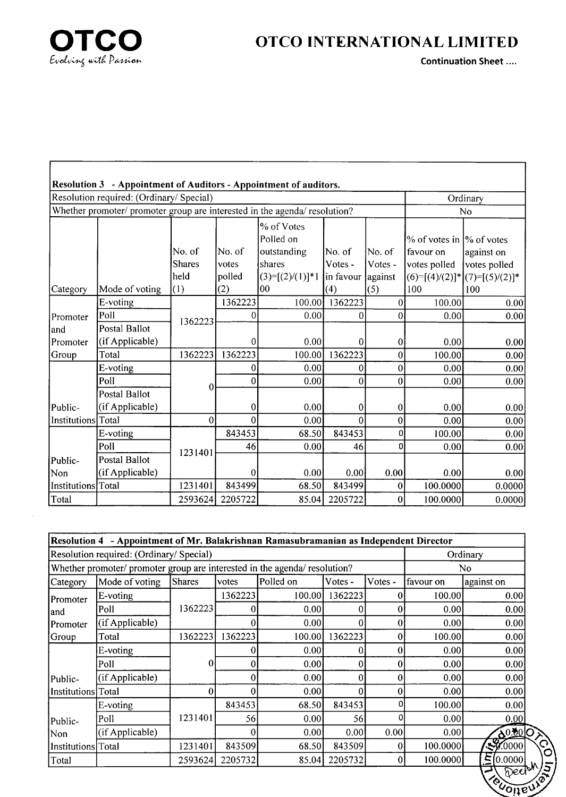

Continuation Sheet ....

EVOIT

|                    | Resolution 3 - Appointment of Auditors - Appointment of auditors.          |                          |                           |                                            |                                |                               |                           |                                                                   |
|--------------------|----------------------------------------------------------------------------|--------------------------|---------------------------|--------------------------------------------|--------------------------------|-------------------------------|---------------------------|-------------------------------------------------------------------|
|                    | Resolution required: (Ordinary/ Special)                                   |                          |                           |                                            |                                |                               |                           | Ordinary                                                          |
|                    | Whether promoter/ promoter group are interested in the agenda/ resolution? |                          |                           |                                            |                                |                               |                           | No                                                                |
|                    |                                                                            |                          |                           | % of Votes<br>Polled on                    |                                |                               | % of votes in 1% of votes |                                                                   |
|                    |                                                                            | No. of<br>Shares<br>held | No. of<br>votes<br>polled | outstanding<br>shares<br>$(3)=[(2)/(1)]*1$ | No. of<br>Votes -<br>in favour | lNo. of<br>Votes -<br>against | favour on<br>votes polled | against on<br>votes polled<br>$(6)=[(4)/(2)]$ * $(7)=[(5)/(2)]$ * |
| Category           | Mode of voting                                                             | (1)                      | (2)                       | 00                                         | (4)                            | (5)                           | 100                       | 100                                                               |
|                    | E-voting                                                                   |                          | 1362223                   | 100.00                                     | 1362223                        | 0                             | 100.00                    | 0.00                                                              |
| Promoter           | Poll                                                                       | 1362223                  | 0                         | 0.00                                       | 0                              | 0                             | 0.00                      | 0.00                                                              |
| and                | Postal Ballot                                                              |                          |                           |                                            |                                |                               |                           |                                                                   |
| Promoter           | (if Applicable)                                                            |                          | $\bf{0}$                  | 0.00                                       | 0                              | $\bf{0}$                      | 0.00                      | 0.00                                                              |
| Group              | Total                                                                      | 1362223                  | 1362223                   | 100.00                                     | 1362223                        | $\theta$                      | 100.00                    | 0.00                                                              |
|                    | E-voting                                                                   |                          | 0                         | 0.00                                       | 0                              | 0                             | 0.00                      | 0.00                                                              |
|                    | Poll                                                                       | 0                        | 0                         | 0.00                                       | $\mathbf{0}$                   | $\theta$                      | 0.00                      | 0.00                                                              |
| Public-            | Postal Ballot<br>(if Applicable)                                           |                          | $\vert$ 0                 | 0.00                                       | 0                              | 0                             | 0.00                      | 0.00                                                              |
| Institutions Total |                                                                            | $\overline{0}$           | $\vert 0 \vert$           | 0.00                                       | $\Omega$                       | 0                             | 0.00                      | 0.00                                                              |
|                    | E-voting                                                                   |                          | 843453                    | 68.50                                      | 843453                         | 0                             | 100.00                    | 0.00                                                              |
|                    | Poll                                                                       | 1231401                  | 46                        | 0.00                                       | 46                             | 0                             | 0.00                      | 0.00                                                              |
| Public-            | Postal Ballot                                                              |                          |                           |                                            |                                |                               |                           |                                                                   |
| Non                | (if Applicable)                                                            |                          | 0                         | 0.00                                       | 0.00                           | 0.00                          | 0.00                      | 0.00                                                              |
| Institutions Total |                                                                            | 1231401                  | 843499                    | 68.50                                      | 843499                         | 0                             | 100.0000                  | 0.0000                                                            |
| Total              |                                                                            | 2593624                  | 2205722                   | 85.04                                      | 2205722                        | 0                             | 100.0000                  | 0.0000                                                            |

|                    | Resolution 4 - Appointment of Mr. Balakrishnan Ramasubramanian as Independent Director |               |         |           |         |         |           |                    |
|--------------------|----------------------------------------------------------------------------------------|---------------|---------|-----------|---------|---------|-----------|--------------------|
|                    | Resolution required: (Ordinary/ Special)                                               |               |         |           |         |         |           | Ordinary           |
|                    | Whether promoter/ promoter group are interested in the agenda/ resolution?             |               |         |           |         |         |           | No.                |
| Category           | Mode of voting                                                                         | <b>Shares</b> | votes   | Polled on | Votes - | Votes - | favour on | against on         |
| Promoter           | E-voting                                                                               |               | 1362223 | 100.00    | 1362223 |         | 100.00    | 0.00               |
| land               | Poll                                                                                   | 1362223       |         | 0.001     |         |         | 0.00      | 0.00               |
| <b>Promoter</b>    | (if Applicable)                                                                        |               |         | 0.001     | 0       | 0       | 0.00      | 0.00               |
| Group              | Total                                                                                  | 1362223       | 1362223 | 100.00]   | 1362223 | 0       | 100.00    | 0.00               |
|                    | E-voting                                                                               |               |         | 0.001     | 0       | 0       | 0.00      | 0.00               |
|                    | Poll                                                                                   | 0             | 0       | 0.00      | 0       |         | 0.00      | 0.00               |
| Public-            | (if Applicable)                                                                        |               |         | 0.00      | 0       |         | 0.00      | 0.00               |
| Institutions Total |                                                                                        |               |         | 0.00      | 0       |         | 0.00      | 0.00               |
|                    | E-voting                                                                               |               | 843453  | 68.50     | 843453  |         | 100.00    | 0.00               |
| Public-            | Poll                                                                                   | 1231401       | 56      | 0.001     | 56      | Ω       | 0.00      | 0.00               |
| Non                | (if Applicable)                                                                        |               |         | 0.001     | 0.00    | 0.00    | 0.00      | 60.006             |
| Institutions Total |                                                                                        | 1231401       | 843509  | 68.50     | 843509  | 0       | 100.0000  | $\sqrt{30000}$     |
| Total              |                                                                                        | 2593624       | 2205732 | 85.04     | 2205732 | 0       | 100.0000  | E[0.0000]<br>অক্রম |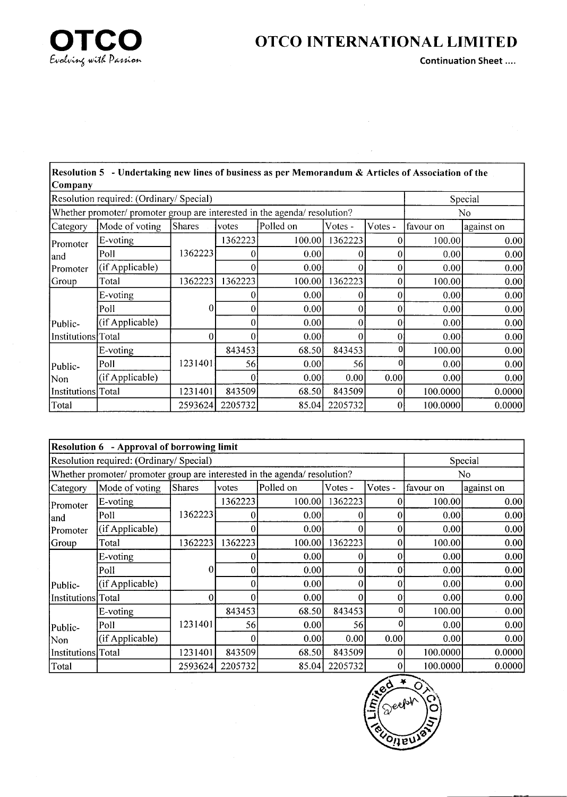

 $\bar{z}$ 

Continuation Sheet ....

| Company            | Resolution 5 - Undertaking new lines of business as per Memorandum & Articles of Association of the |               |         |           |         |         |                   |            |
|--------------------|-----------------------------------------------------------------------------------------------------|---------------|---------|-----------|---------|---------|-------------------|------------|
|                    | Resolution required: (Ordinary/Special)                                                             |               |         |           |         |         |                   | Special    |
|                    | Whether promoter/ promoter group are interested in the agenda/ resolution?                          |               |         |           |         |         |                   | No         |
| Category           | Mode of voting                                                                                      | <b>Shares</b> | votes   | Polled on | Votes - | Votes - | favour on         | against on |
| Promoter           | E-voting                                                                                            |               | 1362223 | 100.00    | 1362223 |         | 100.00            | 0.00       |
| land               | Poll                                                                                                | 1362223       |         | 0.00      |         |         | 0.00              | 0.00       |
| Promoter           | (if Applicable)                                                                                     |               |         | 0.00      |         |         | 0.00 <sub>1</sub> | 0.00       |
| Group              | Total                                                                                               | 1362223       | 1362223 | 100.00    | 1362223 |         | 100.00            | 0.00       |
|                    | E-voting                                                                                            |               |         | 0.00      |         |         | 0.00              | 0.00       |
|                    | Poll                                                                                                | 0             | 0       | 0.00      |         |         | 0.00              | 0.00       |
| Public-            | (if Applicable)                                                                                     |               | 0       | 0.00      | 0       |         | 0.00              | 0.00       |
| Institutions Total |                                                                                                     | $\Omega$      | ΩI      | 0.00      |         |         | 0.00              | 0.00       |
|                    | E-voting                                                                                            |               | 843453  | 68.50     | 843453  |         | 100.00            | 0.00       |
| Public-            | Poll                                                                                                | 1231401       | 56      | 0.00      | 56      |         | 0.00              | 0.00       |
| Non                | (if Applicable)                                                                                     |               |         | 0.00      | 0.00    | 0.00    | 0.00              | 0.00       |
| Institutions Total |                                                                                                     | 1231401       | 843509  | 68.50     | 843509  | 0       | 100.0000          | 0.0000     |
| Total              |                                                                                                     | 2593624       | 2205732 | 85.04     | 2205732 |         | 100.0000          | 0.0000     |

|                    | Resolution 6 - Approval of borrowing limit                                 |         |         |           |                 |         |           |            |
|--------------------|----------------------------------------------------------------------------|---------|---------|-----------|-----------------|---------|-----------|------------|
|                    | Resolution required: (Ordinary/ Special)                                   |         |         |           |                 |         |           | Special    |
|                    | Whether promoter/ promoter group are interested in the agenda/ resolution? |         |         |           |                 |         |           | No.        |
| Category           | Mode of voting                                                             | Shares  | votes   | Polled on | Votes -         | Votes - | favour on | against on |
| Promoter           | E-voting                                                                   |         | 1362223 | 100.00    | 1362223         |         | 100.00    | 0.00       |
| land               | Poll                                                                       | 1362223 |         | 0.00      | 0               |         | 0.00      | 0.00       |
| Promoter           | (if Applicable)                                                            |         |         | 0.00      |                 |         | 0.00      | 0.00       |
| Group              | Total                                                                      | 1362223 | 1362223 | 100.00    | 1362223         |         | 100.00    | 0.00       |
|                    | E-voting                                                                   |         |         | 0.00      | 0               |         | 0.00      | 0.00       |
|                    | Poll                                                                       | 0       | 0       | 0.00      | ΩI              | 0       | 0.00      | 0.00       |
| Public-            | (if Applicable)                                                            |         |         | 0.00      | 0               |         | 0.00      | 0.00       |
| Institutions Total |                                                                            |         |         | 0.00      |                 |         | 0.00      | 0.00       |
|                    | E-voting                                                                   |         | 843453  | 68.50     | 843453          |         | 100.00    | 0.00       |
| Public-            | Poll                                                                       | 1231401 | 56I     | 0.00      | 56 <sup> </sup> | o       | 0.00      | 0.00       |
| Non                | (if Applicable)                                                            |         | 0       | 0.00      | 0.00            | 0.00    | 0.00      | 0.00       |
| Institutions Total |                                                                            | 1231401 | 843509  | 68.50     | 843509          |         | 100.0000  | 0.0000     |
| Total              |                                                                            | 2593624 | 2205732 | 85.04     | 2205732         |         | 100.0000  | 0.0000     |

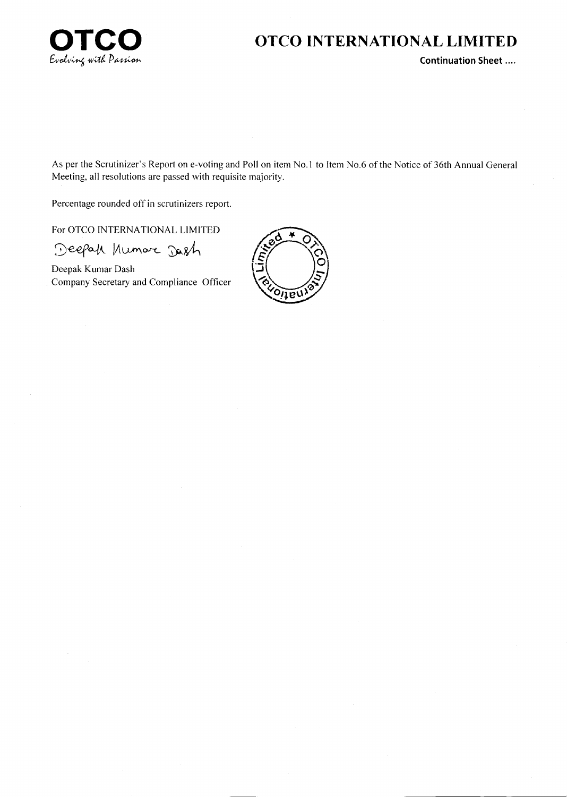

**Continuation Sheet....** 

As per the Scrutinizer's Report on e-voting and Poll on item No.1 to Item No.6 of the Notice of 36th Annual General Meeting, all resolutions are passed with requisite majority.

Percentage rounded off in scrutinizers report.

For OTCO INTERNATIONAL LIMITED

Deepak Kumar Dash

Deepak Kumar Dash Company Secretary and Compliance Officer

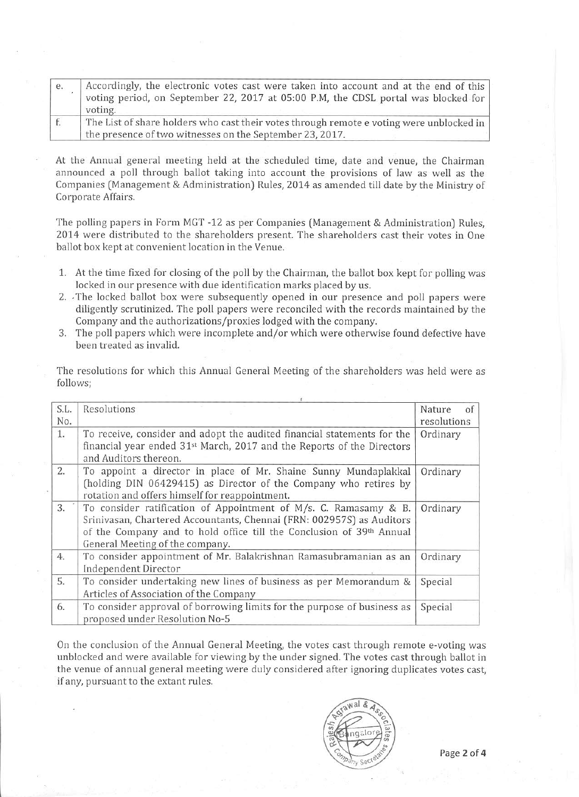| e. | Accordingly, the electronic votes cast were taken into account and at the end of this<br>voting period, on September 22, 2017 at 05:00 P.M, the CDSL portal was blocked for<br>voting. |
|----|----------------------------------------------------------------------------------------------------------------------------------------------------------------------------------------|
|    | The List of share holders who cast their votes through remote e voting were unblocked in<br>the presence of two witnesses on the September 23, 2017.                                   |

At the Annual general meeting held at the scheduled time, date and venue, the Chairman announced a poll through ballot taking into account the provisions of law as well as the Companies (Management & Administration) Rules, 2014 as amended till date by the Ministry of Corporate Affairs.

The polling papers in Form MGT -12 as per Companies (Management & Administration) Rules, 2014 were distributed to the shareholders present. The shareholders cast their votes in One ballot box kept at convenient location in the Venue.

- 1. At the time fixed for closing of the poll by the Chairman, the ballot box kept for polling was locked in our presence with due identification marks placed by us.
- 2. The locked ballot box were subsequently opened in our presence and poll papers were diligently scrutinized. The poll papers were reconciled with the records maintained by the Company and the authorizations/proxies lodged with the company.
- 3. The poll papers which were incomplete and/or which were otherwise found defective have been treated as invalid.

The resolutions for which this Annual General Meeting of the shareholders was held were as follows;

| S.L.<br>No. | Resolutions                                                                                                                                                                                                                                          | Nature<br>of<br>resolutions |
|-------------|------------------------------------------------------------------------------------------------------------------------------------------------------------------------------------------------------------------------------------------------------|-----------------------------|
| 1.          | To receive, consider and adopt the audited financial statements for the<br>financial year ended 31 <sup>st</sup> March, 2017 and the Reports of the Directors<br>and Auditors thereon.                                                               | Ordinary                    |
| 2.          | To appoint a director in place of Mr. Shaine Sunny Mundaplakkal<br>(holding DIN 06429415) as Director of the Company who retires by<br>rotation and offers himself for reappointment.                                                                | Ordinary                    |
| 3.          | To consider ratification of Appointment of M/s. C. Ramasamy & B.<br>Srinivasan, Chartered Accountants, Chennai (FRN: 002957S) as Auditors<br>of the Company and to hold office till the Conclusion of 39th Annual<br>General Meeting of the company. | Ordinary                    |
| 4.          | To consider appointment of Mr. Balakrishnan Ramasubramanian as an<br>Independent Director                                                                                                                                                            | Ordinary                    |
| 5.          | To consider undertaking new lines of business as per Memorandum &<br>Articles of Association of the Company                                                                                                                                          | Special                     |
| 6.          | To consider approval of borrowing limits for the purpose of business as<br>proposed under Resolution No-5                                                                                                                                            | Special                     |

On the conclusion of the Annual General Meeting, the votes cast through remote e-voting was unblocked and were available for viewing by the under signed. The votes cast through ballot in the venue of annual general meeting were duly considered after ignoring duplicates votes cast. if any, pursuant to the extant rules.

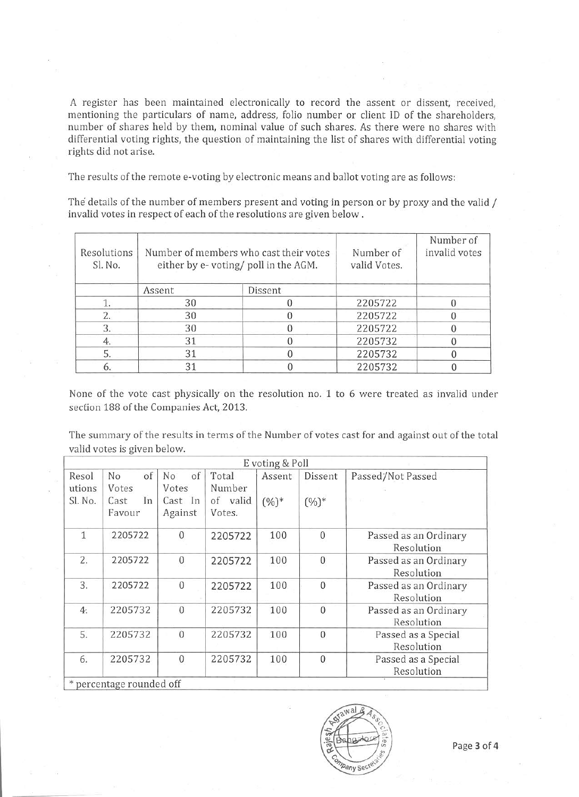A register has been maintained electronically to record the assent or dissent, received, mentioning the particulars of name, address, folio number or client ID of the shareholders, number of shares held by them, nominal value of such shares. As there were no shares with differential voting rights, the question of maintaining the list of shares with differential voting rights did not arise.

The results of the remote e-voting by electronic means and ballot voting are as follows:

The details of the number of members present and voting in person or by proxy and the valid / invalid votes in respect of each of the resolutions are given below.

| Resolutions<br>Sl. No. |        | Number of members who cast their votes<br>either by e-voting/poll in the AGM. | Number of<br>valid Votes. | Number of<br>invalid votes |  |
|------------------------|--------|-------------------------------------------------------------------------------|---------------------------|----------------------------|--|
|                        | Assent | Dissent                                                                       |                           |                            |  |
|                        | 30     |                                                                               | 2205722                   |                            |  |
|                        | 30     |                                                                               | 2205722                   |                            |  |
| 3.                     | 30     |                                                                               | 2205722                   |                            |  |
|                        | 31     |                                                                               | 2205732                   |                            |  |
|                        | 31     |                                                                               | 2205732                   |                            |  |
|                        | 31     |                                                                               | 2205732                   |                            |  |

None of the vote cast physically on the resolution no. 1 to 6 were treated as invalid under section 188 of the Companies Act, 2013.

The summary of the results in terms of the Number of votes cast for and against out of the total valid votes is given below.

|                   |                               |                             |                              | E voting & Poll |                  |                                     |
|-------------------|-------------------------------|-----------------------------|------------------------------|-----------------|------------------|-------------------------------------|
| Resol             | of<br>No                      | of<br>N <sub>o</sub>        | Total                        | Assent          | Dissent          | Passed/Not Passed                   |
| utions<br>Sl. No. | Votes<br>Cast<br>In<br>Favour | Votes<br>Cast In<br>Against | Number<br>of valid<br>Votes. | $(%)^*$         | $(%)^*$          |                                     |
| $\mathbf{1}$      | 2205722                       | $\mathbf{0}$                | 2205722                      | 100             | $\mathbf{0}$     | Passed as an Ordinary<br>Resolution |
| 2.                | 2205722                       | $\boldsymbol{0}$            | 2205722                      | 100             | $\boldsymbol{0}$ | Passed as an Ordinary<br>Resolution |
| 3.                | 2205722                       | $\mathbf{0}$                | 2205722                      | 100             | $\mathbf{0}$     | Passed as an Ordinary<br>Resolution |
| 4.                | 2205732                       | $\overline{0}$              | 2205732                      | 100             | $\mathbf{0}$     | Passed as an Ordinary<br>Resolution |
| 5.                | 2205732                       | $\overline{0}$              | 2205732                      | 100             | $\mathbf{0}$     | Passed as a Special<br>Resolution   |
| 6.                | 2205732                       | $\mathbf{0}$                | 2205732                      | 100             | $\mathbf{0}$     | Passed as a Special<br>Resolution   |